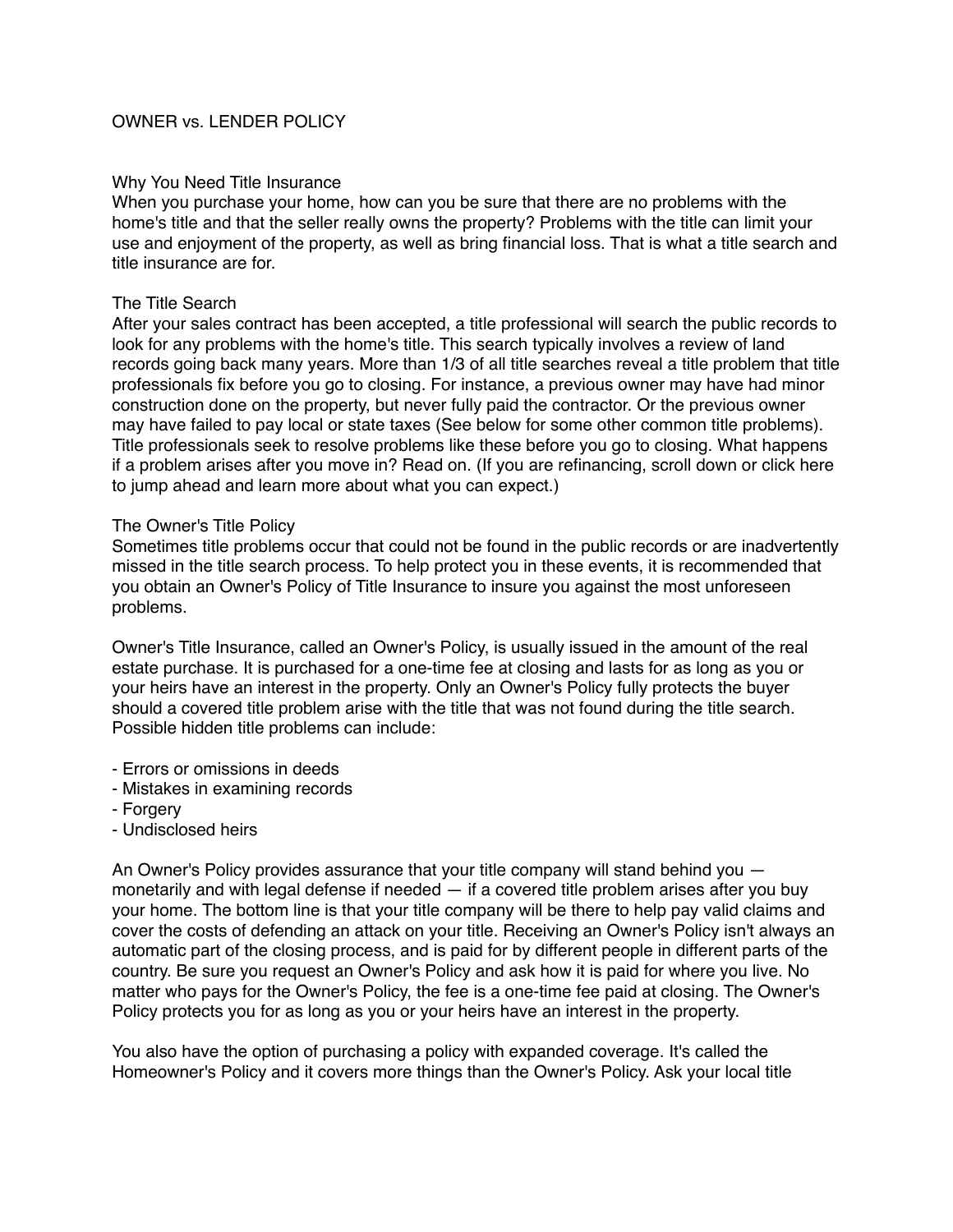# OWNER vs. LENDER POLICY

### Why You Need Title Insurance

When you purchase your home, how can you be sure that there are no problems with the home's title and that the seller really owns the property? Problems with the title can limit your use and enjoyment of the property, as well as bring financial loss. That is what a title search and title insurance are for.

## The Title Search

After your sales contract has been accepted, a title professional will search the public records to look for any problems with the home's title. This search typically involves a review of land records going back many years. More than 1/3 of all title searches reveal a title problem that title professionals fix before you go to closing. For instance, a previous owner may have had minor construction done on the property, but never fully paid the contractor. Or the previous owner may have failed to pay local or state taxes (See below for some other common title problems). Title professionals seek to resolve problems like these before you go to closing. What happens if a problem arises after you move in? Read on. (If you are refinancing, scroll down or click here to jump ahead and learn more about what you can expect.)

#### The Owner's Title Policy

Sometimes title problems occur that could not be found in the public records or are inadvertently missed in the title search process. To help protect you in these events, it is recommended that you obtain an Owner's Policy of Title Insurance to insure you against the most unforeseen problems.

Owner's Title Insurance, called an Owner's Policy, is usually issued in the amount of the real estate purchase. It is purchased for a one-time fee at closing and lasts for as long as you or your heirs have an interest in the property. Only an Owner's Policy fully protects the buyer should a covered title problem arise with the title that was not found during the title search. Possible hidden title problems can include:

- Errors or omissions in deeds
- Mistakes in examining records
- Forgery
- Undisclosed heirs

An Owner's Policy provides assurance that your title company will stand behind you monetarily and with legal defense if needed — if a covered title problem arises after you buy your home. The bottom line is that your title company will be there to help pay valid claims and cover the costs of defending an attack on your title. Receiving an Owner's Policy isn't always an automatic part of the closing process, and is paid for by different people in different parts of the country. Be sure you request an Owner's Policy and ask how it is paid for where you live. No matter who pays for the Owner's Policy, the fee is a one-time fee paid at closing. The Owner's Policy protects you for as long as you or your heirs have an interest in the property.

You also have the option of purchasing a policy with expanded coverage. It's called the Homeowner's Policy and it covers more things than the Owner's Policy. Ask your local title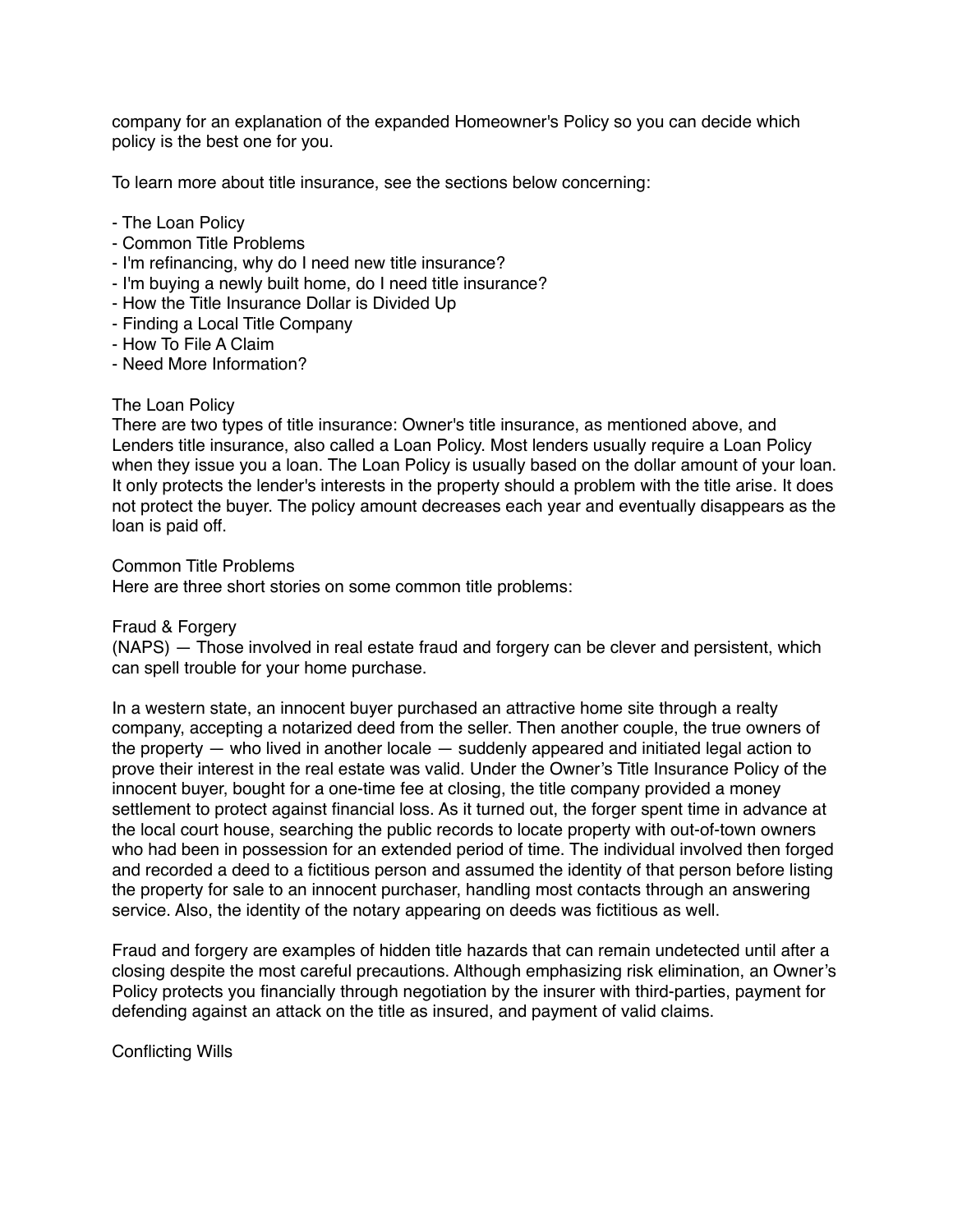company for an explanation of the expanded Homeowner's Policy so you can decide which policy is the best one for you.

To learn more about title insurance, see the sections below concerning:

- The Loan Policy
- Common Title Problems
- I'm refinancing, why do I need new title insurance?
- I'm buying a newly built home, do I need title insurance?
- How the Title Insurance Dollar is Divided Up
- Finding a Local Title Company
- How To File A Claim
- Need More Information?

# The Loan Policy

There are two types of title insurance: Owner's title insurance, as mentioned above, and Lenders title insurance, also called a Loan Policy. Most lenders usually require a Loan Policy when they issue you a loan. The Loan Policy is usually based on the dollar amount of your loan. It only protects the lender's interests in the property should a problem with the title arise. It does not protect the buyer. The policy amount decreases each year and eventually disappears as the loan is paid off.

Common Title Problems

Here are three short stories on some common title problems:

Fraud & Forgery

(NAPS) — Those involved in real estate fraud and forgery can be clever and persistent, which can spell trouble for your home purchase.

In a western state, an innocent buyer purchased an attractive home site through a realty company, accepting a notarized deed from the seller. Then another couple, the true owners of the property — who lived in another locale — suddenly appeared and initiated legal action to prove their interest in the real estate was valid. Under the Owner's Title Insurance Policy of the innocent buyer, bought for a one-time fee at closing, the title company provided a money settlement to protect against financial loss. As it turned out, the forger spent time in advance at the local court house, searching the public records to locate property with out-of-town owners who had been in possession for an extended period of time. The individual involved then forged and recorded a deed to a fictitious person and assumed the identity of that person before listing the property for sale to an innocent purchaser, handling most contacts through an answering service. Also, the identity of the notary appearing on deeds was fictitious as well.

Fraud and forgery are examples of hidden title hazards that can remain undetected until after a closing despite the most careful precautions. Although emphasizing risk elimination, an Owner's Policy protects you financially through negotiation by the insurer with third-parties, payment for defending against an attack on the title as insured, and payment of valid claims.

Conflicting Wills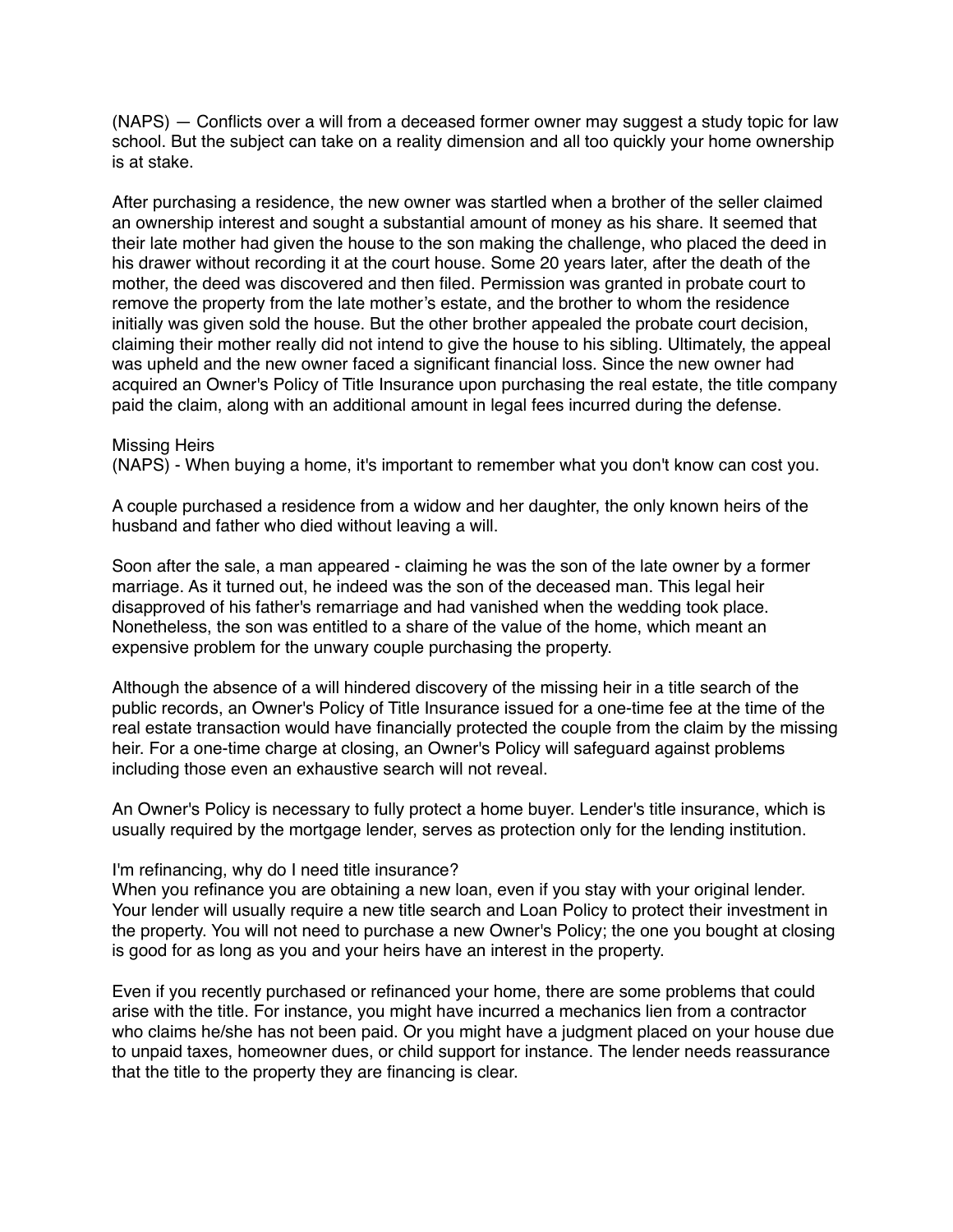(NAPS) — Conflicts over a will from a deceased former owner may suggest a study topic for law school. But the subject can take on a reality dimension and all too quickly your home ownership is at stake.

After purchasing a residence, the new owner was startled when a brother of the seller claimed an ownership interest and sought a substantial amount of money as his share. It seemed that their late mother had given the house to the son making the challenge, who placed the deed in his drawer without recording it at the court house. Some 20 years later, after the death of the mother, the deed was discovered and then filed. Permission was granted in probate court to remove the property from the late mother's estate, and the brother to whom the residence initially was given sold the house. But the other brother appealed the probate court decision, claiming their mother really did not intend to give the house to his sibling. Ultimately, the appeal was upheld and the new owner faced a significant financial loss. Since the new owner had acquired an Owner's Policy of Title Insurance upon purchasing the real estate, the title company paid the claim, along with an additional amount in legal fees incurred during the defense.

Missing Heirs (NAPS) - When buying a home, it's important to remember what you don't know can cost you.

A couple purchased a residence from a widow and her daughter, the only known heirs of the husband and father who died without leaving a will.

Soon after the sale, a man appeared - claiming he was the son of the late owner by a former marriage. As it turned out, he indeed was the son of the deceased man. This legal heir disapproved of his father's remarriage and had vanished when the wedding took place. Nonetheless, the son was entitled to a share of the value of the home, which meant an expensive problem for the unwary couple purchasing the property.

Although the absence of a will hindered discovery of the missing heir in a title search of the public records, an Owner's Policy of Title Insurance issued for a one-time fee at the time of the real estate transaction would have financially protected the couple from the claim by the missing heir. For a one-time charge at closing, an Owner's Policy will safeguard against problems including those even an exhaustive search will not reveal.

An Owner's Policy is necessary to fully protect a home buyer. Lender's title insurance, which is usually required by the mortgage lender, serves as protection only for the lending institution.

#### I'm refinancing, why do I need title insurance?

When you refinance you are obtaining a new loan, even if you stay with your original lender. Your lender will usually require a new title search and Loan Policy to protect their investment in the property. You will not need to purchase a new Owner's Policy; the one you bought at closing is good for as long as you and your heirs have an interest in the property.

Even if you recently purchased or refinanced your home, there are some problems that could arise with the title. For instance, you might have incurred a mechanics lien from a contractor who claims he/she has not been paid. Or you might have a judgment placed on your house due to unpaid taxes, homeowner dues, or child support for instance. The lender needs reassurance that the title to the property they are financing is clear.